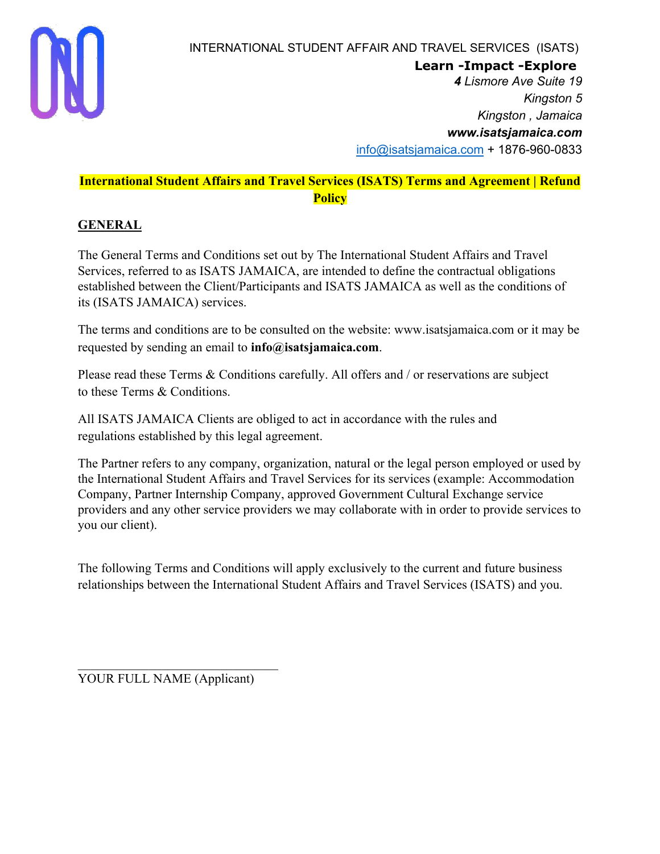

**Learn -Impact -Explore**

*4 Lismore Ave Suite 19 Kingston 5 Kingston , Jamaica www.isatsjamaica.com* info@isatsjamaica.com + 1876-960-0833

# **International Student Affairs and Travel Services (ISATS) Terms and Agreement | Refund Policy**

# **GENERAL**

The General Terms and Conditions set out by The International Student Affairs and Travel Services, referred to as ISATS JAMAICA, are intended to define the contractual obligations established between the Client/Participants and ISATS JAMAICA as well as the conditions of its (ISATS JAMAICA) services.

The terms and conditions are to be consulted on the website: www.isatsjamaica.com or it may be requested by sending an email to **info@isatsjamaica.com**.

Please read these Terms & Conditions carefully. All offers and / or reservations are subject to these Terms & Conditions.

All ISATS JAMAICA Clients are obliged to act in accordance with the rules and regulations established by this legal agreement.

The Partner refers to any company, organization, natural or the legal person employed or used by the International Student Affairs and Travel Services for its services (example: Accommodation Company, Partner Internship Company, approved Government Cultural Exchange service providers and any other service providers we may collaborate with in order to provide services to you our client).

The following Terms and Conditions will apply exclusively to the current and future business relationships between the International Student Affairs and Travel Services (ISATS) and you.

YOUR FULL NAME (Applicant)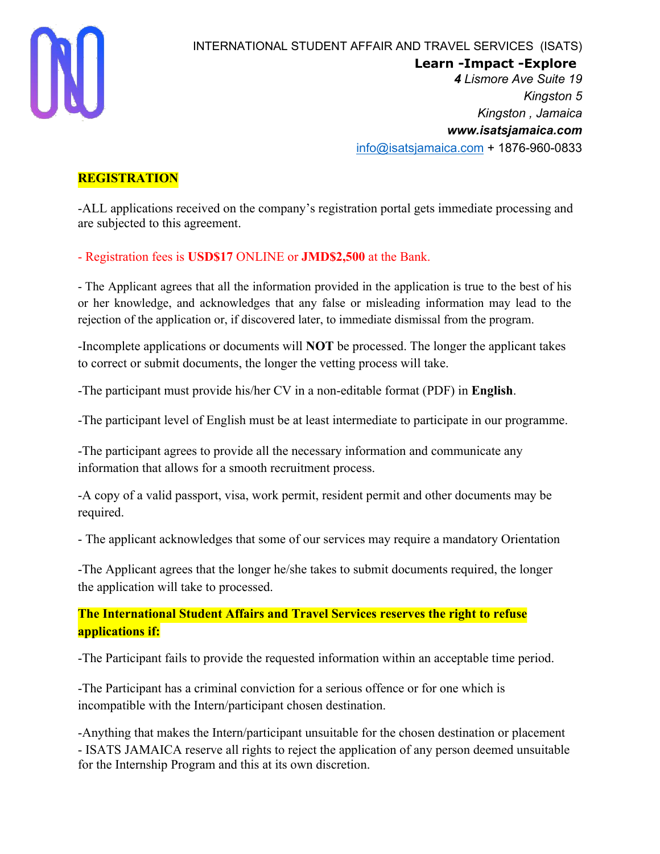

**Learn -Impact -Explore**

*4 Lismore Ave Suite 19 Kingston 5 Kingston , Jamaica www.isatsjamaica.com* info@isatsjamaica.com + 1876-960-0833

#### **REGISTRATION**

-ALL applications received on the company's registration portal gets immediate processing and are subjected to this agreement.

- Registration fees is **USD\$17** ONLINE or **JMD\$2,500** at the Bank.

- The Applicant agrees that all the information provided in the application is true to the best of his or her knowledge, and acknowledges that any false or misleading information may lead to the rejection of the application or, if discovered later, to immediate dismissal from the program.

-Incomplete applications or documents will **NOT** be processed. The longer the applicant takes to correct or submit documents, the longer the vetting process will take.

-The participant must provide his/her CV in a non-editable format (PDF) in **English**.

-The participant level of English must be at least intermediate to participate in our programme.

-The participant agrees to provide all the necessary information and communicate any information that allows for a smooth recruitment process.

-A copy of a valid passport, visa, work permit, resident permit and other documents may be required.

- The applicant acknowledges that some of our services may require a mandatory Orientation

-The Applicant agrees that the longer he/she takes to submit documents required, the longer the application will take to processed.

**The International Student Affairs and Travel Services reserves the right to refuse applications if:**

-The Participant fails to provide the requested information within an acceptable time period.

-The Participant has a criminal conviction for a serious offence or for one which is incompatible with the Intern/participant chosen destination.

-Anything that makes the Intern/participant unsuitable for the chosen destination or placement - ISATS JAMAICA reserve all rights to reject the application of any person deemed unsuitable for the Internship Program and this at its own discretion.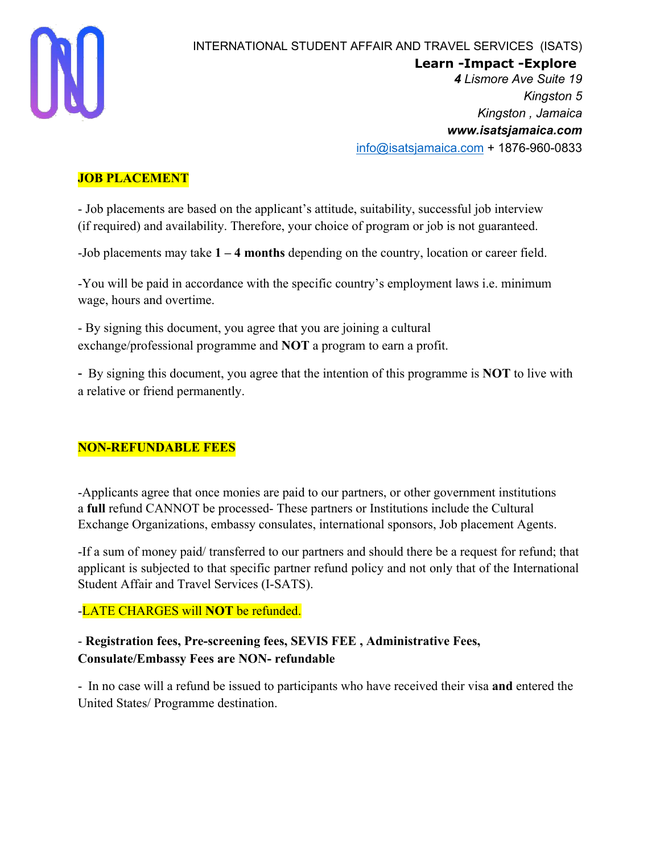

**Learn -Impact -Explore**

*4 Lismore Ave Suite 19 Kingston 5 Kingston , Jamaica www.isatsjamaica.com* info@isatsjamaica.com + 1876-960-0833

## **JOB PLACEMENT**

- Job placements are based on the applicant's attitude, suitability, successful job interview (if required) and availability. Therefore, your choice of program or job is not guaranteed.

-Job placements may take **1 – 4 months** depending on the country, location or career field.

-You will be paid in accordance with the specific country's employment laws i.e. minimum wage, hours and overtime.

- By signing this document, you agree that you are joining a cultural exchange/professional programme and **NOT** a program to earn a profit.

- By signing this document, you agree that the intention of this programme is **NOT** to live with a relative or friend permanently.

## **NON-REFUNDABLE FEES**

-Applicants agree that once monies are paid to our partners, or other government institutions a **full** refund CANNOT be processed- These partners or Institutions include the Cultural Exchange Organizations, embassy consulates, international sponsors, Job placement Agents.

-If a sum of money paid/ transferred to our partners and should there be a request for refund; that applicant is subjected to that specific partner refund policy and not only that of the International Student Affair and Travel Services (I-SATS).

## -LATE CHARGES will **NOT** be refunded.

# - **Registration fees, Pre-screening fees, SEVIS FEE , Administrative Fees, Consulate/Embassy Fees are NON- refundable**

- In no case will a refund be issued to participants who have received their visa **and** entered the United States/ Programme destination.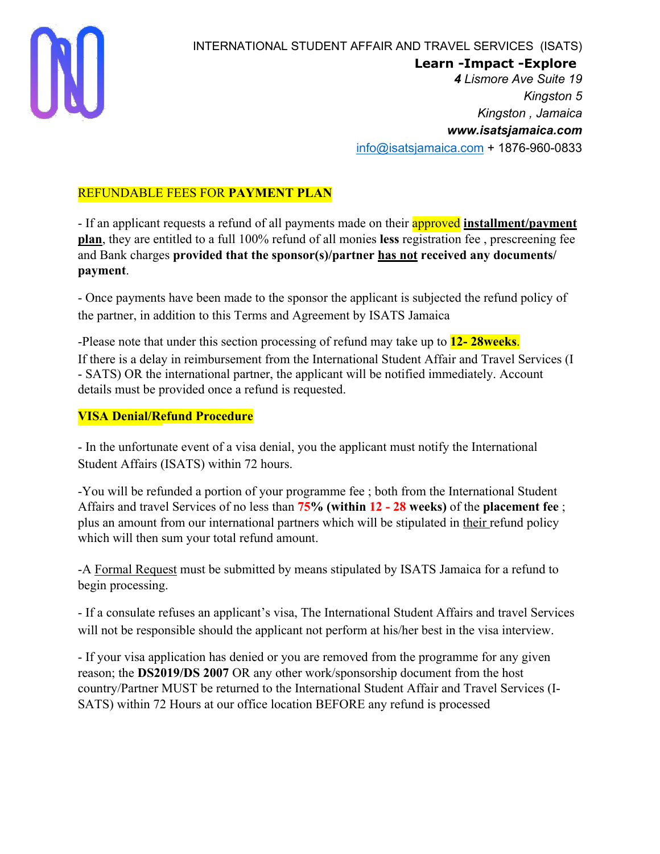

**Learn -Impact -Explore**

*4 Lismore Ave Suite 19 Kingston 5 Kingston , Jamaica www.isatsjamaica.com* info@isatsjamaica.com + 1876-960-0833

# REFUNDABLE FEES FOR **PAYMENT PLAN**

- If an applicant requests a refund of all payments made on their approved **installment/payment plan**, they are entitled to a full 100% refund of all monies **less** registration fee , prescreening fee and Bank charges **provided that the sponsor(s)/partner has not received any documents/ payment**.

- Once payments have been made to the sponsor the applicant is subjected the refund policy of the partner, in addition to this Terms and Agreement by ISATS Jamaica

-Please note that under this section processing of refund may take up to **12- 28weeks**. If there is a delay in reimbursement from the International Student Affair and Travel Services (I - SATS) OR the international partner, the applicant will be notified immediately. Account details must be provided once a refund is requested.

## **VISA Denial/Refund Procedure**

- In the unfortunate event of a visa denial, you the applicant must notify the International Student Affairs (ISATS) within 72 hours.

-You will be refunded a portion of your programme fee ; both from the International Student Affairs and travel Services of no less than **75% (within 12 - 28 weeks)** of the **placement fee** ; plus an amount from our international partners which will be stipulated in their refund policy which will then sum your total refund amount.

-A Formal Request must be submitted by means stipulated by ISATS Jamaica for a refund to begin processing.

- If a consulate refuses an applicant's visa, The International Student Affairs and travel Services will not be responsible should the applicant not perform at his/her best in the visa interview.

- If your visa application has denied or you are removed from the programme for any given reason; the **DS2019/DS 2007** OR any other work/sponsorship document from the host country/Partner MUST be returned to the International Student Affair and Travel Services (I-SATS) within 72 Hours at our office location BEFORE any refund is processed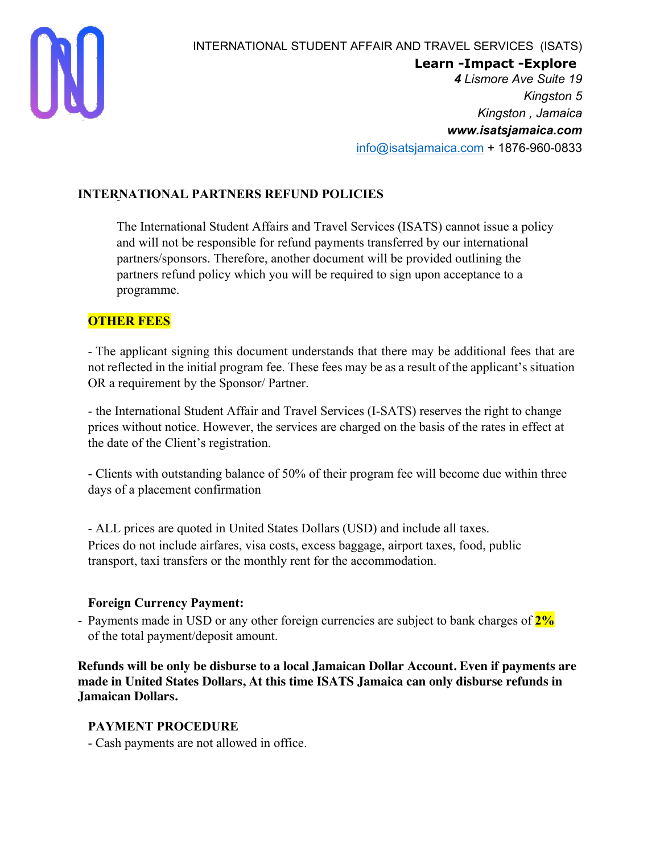

**Learn -Impact -Explore**

*4 Lismore Ave Suite 19 Kingston 5 Kingston , Jamaica www.isatsjamaica.com* info@isatsjamaica.com + 1876-960-0833

#### **INTERNATIONAL PARTNERS REFUND POLICIES**

The International Student Affairs and Travel Services (ISATS) cannot issue a policy and will not be responsible for refund payments transferred by our international partners/sponsors. Therefore, another document will be provided outlining the partners refund policy which you will be required to sign upon acceptance to a programme.

## **OTHER FEES**

- The applicant signing this document understands that there may be additional fees that are not reflected in the initial program fee. These fees may be as a result of the applicant's situation OR a requirement by the Sponsor/ Partner.

- the International Student Affair and Travel Services (I-SATS) reserves the right to change prices without notice. However, the services are charged on the basis of the rates in effect at the date of the Client's registration.

- Clients with outstanding balance of 50% of their program fee will become due within three days of a placement confirmation

- ALL prices are quoted in United States Dollars (USD) and include all taxes. Prices do not include airfares, visa costs, excess baggage, airport taxes, food, public transport, taxi transfers or the monthly rent for the accommodation.

#### **Foreign Currency Payment:**

- Payments made in USD or any other foreign currencies are subject to bank charges of **2%** of the total payment/deposit amount.

**Refunds will be only be disburse to a local Jamaican Dollar Account. Even if payments are made in United States Dollars, At this time ISATS Jamaica can only disburse refunds in Jamaican Dollars.**

#### **PAYMENT PROCEDURE**

- Cash payments are not allowed in office.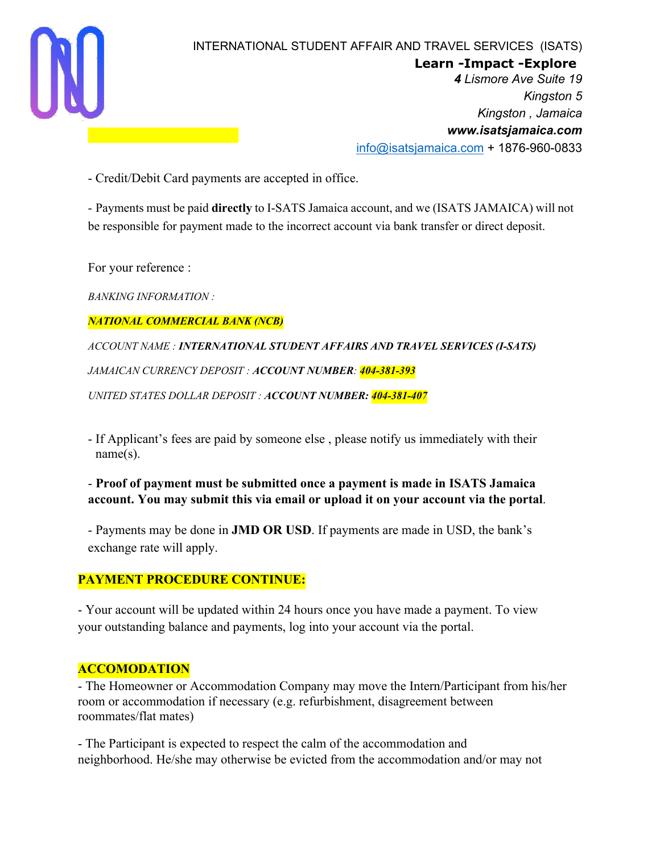

**Learn -Impact -Explore**

*4 Lismore Ave Suite 19 Kingston 5 Kingston , Jamaica www.isatsjamaica.com* info@isatsjamaica.com + 1876-960-0833

- Credit/Debit Card payments are accepted in office.

- Payments must be paid **directly** to I-SATS Jamaica account, and we (ISATS JAMAICA) will not be responsible for payment made to the incorrect account via bank transfer or direct deposit.

For your reference :

*BANKING INFORMATION :*

*NATIONAL COMMERCIAL BANK (NCB)*

*ACCOUNT NAME : INTERNATIONAL STUDENT AFFAIRS AND TRAVEL SERVICES (I-SATS) JAMAICAN CURRENCY DEPOSIT : ACCOUNT NUMBER: 404-381-393 UNITED STATES DOLLAR DEPOSIT : ACCOUNT NUMBER: 404-381-407*

- If Applicant's fees are paid by someone else , please notify us immediately with their name(s).

#### - **Proof of payment must be submitted once a payment is made in ISATS Jamaica account. You may submit this via email or upload it on your account via the portal**.

- Payments may be done in **JMD OR USD**. If payments are made in USD, the bank's exchange rate will apply.

## **PAYMENT PROCEDURE CONTINUE:**

- Your account will be updated within 24 hours once you have made a payment. To view your outstanding balance and payments, log into your account via the portal.

#### **ACCOMODATION**

- The Homeowner or Accommodation Company may move the Intern/Participant from his/her room or accommodation if necessary (e.g. refurbishment, disagreement between roommates/flat mates)

- The Participant is expected to respect the calm of the accommodation and neighborhood. He/she may otherwise be evicted from the accommodation and/or may not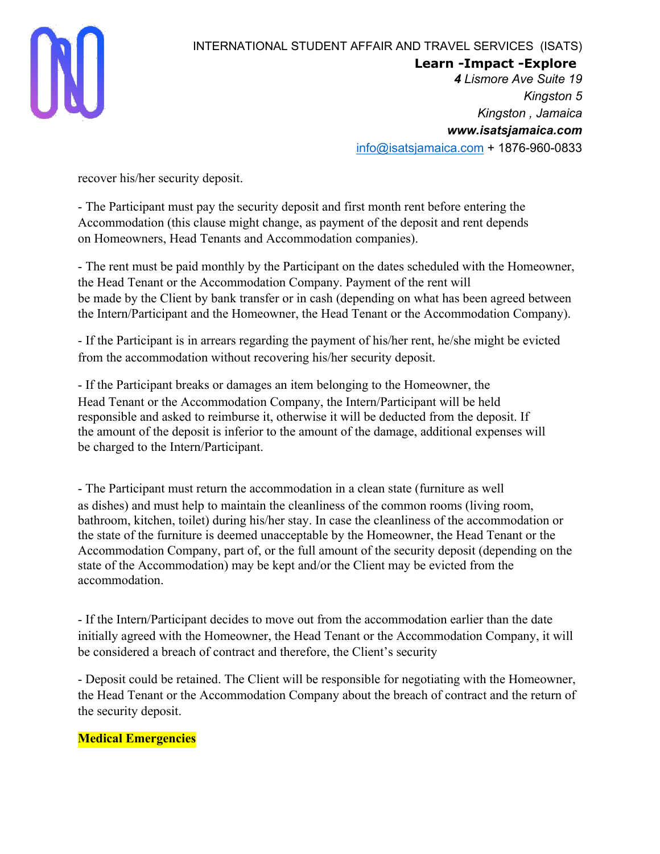

**Learn -Impact -Explore**

*4 Lismore Ave Suite 19 Kingston 5 Kingston , Jamaica www.isatsjamaica.com* info@isatsjamaica.com + 1876-960-0833

recover his/her security deposit.

- The Participant must pay the security deposit and first month rent before entering the Accommodation (this clause might change, as payment of the deposit and rent depends on Homeowners, Head Tenants and Accommodation companies).

- The rent must be paid monthly by the Participant on the dates scheduled with the Homeowner, the Head Tenant or the Accommodation Company. Payment of the rent will be made by the Client by bank transfer or in cash (depending on what has been agreed between the Intern/Participant and the Homeowner, the Head Tenant or the Accommodation Company).

- If the Participant is in arrears regarding the payment of his/her rent, he/she might be evicted from the accommodation without recovering his/her security deposit.

- If the Participant breaks or damages an item belonging to the Homeowner, the Head Tenant or the Accommodation Company, the Intern/Participant will be held responsible and asked to reimburse it, otherwise it will be deducted from the deposit. If the amount of the deposit is inferior to the amount of the damage, additional expenses will be charged to the Intern/Participant.

- The Participant must return the accommodation in a clean state (furniture as well as dishes) and must help to maintain the cleanliness of the common rooms (living room, bathroom, kitchen, toilet) during his/her stay. In case the cleanliness of the accommodation or the state of the furniture is deemed unacceptable by the Homeowner, the Head Tenant or the Accommodation Company, part of, or the full amount of the security deposit (depending on the state of the Accommodation) may be kept and/or the Client may be evicted from the accommodation.

- If the Intern/Participant decides to move out from the accommodation earlier than the date initially agreed with the Homeowner, the Head Tenant or the Accommodation Company, it will be considered a breach of contract and therefore, the Client's security

- Deposit could be retained. The Client will be responsible for negotiating with the Homeowner, the Head Tenant or the Accommodation Company about the breach of contract and the return of the security deposit.

## **Medical Emergencies**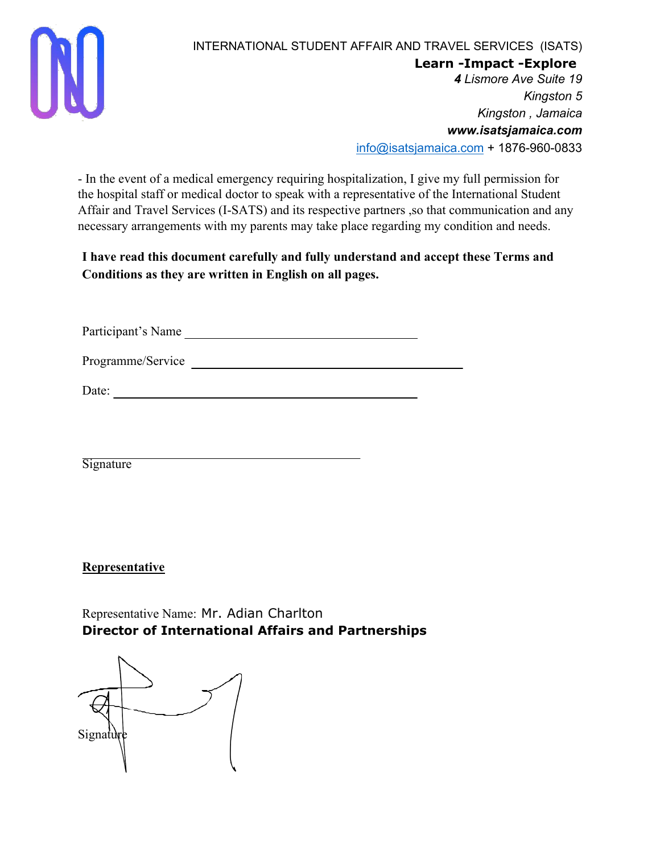

**Learn -Impact -Explore**

*4 Lismore Ave Suite 19 Kingston 5 Kingston , Jamaica www.isatsjamaica.com* info@isatsjamaica.com + 1876-960-0833

- In the event of a medical emergency requiring hospitalization, I give my full permission for the hospital staff or medical doctor to speak with a representative of the International Student Affair and Travel Services (I-SATS) and its respective partners ,so that communication and any necessary arrangements with my parents may take place regarding my condition and needs.

**I have read this document carefully and fully understand and accept these Terms and Conditions as they are written in English on all pages.**

Participant's Name

Programme/Service

Date:

**Signature** 

**Representative**

Representative Name: Mr. Adian Charlton **Director of International Affairs and Partnerships**

Signature